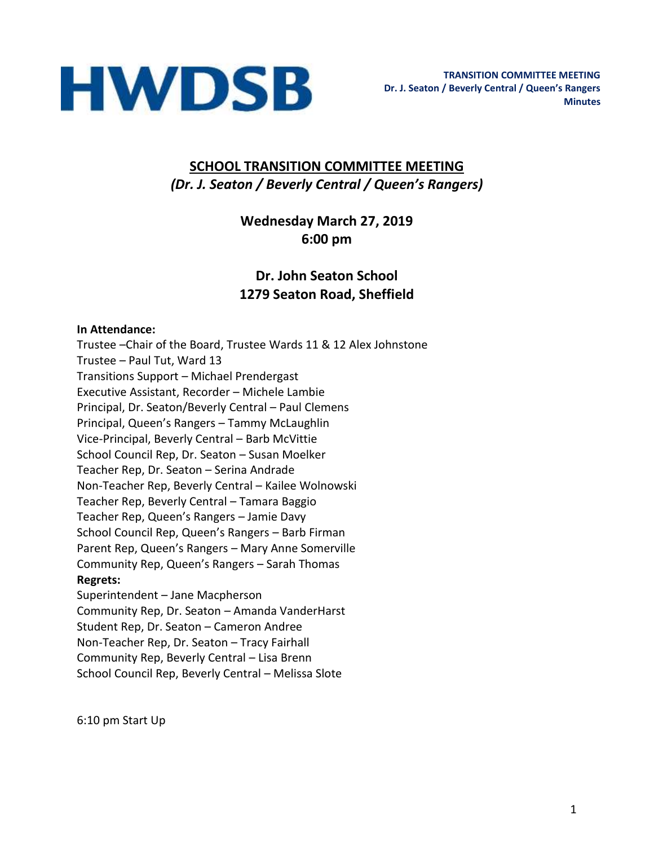

# **SCHOOL TRANSITION COMMITTEE MEETING** *(Dr. J. Seaton / Beverly Central / Queen's Rangers)*

# **Wednesday March 27, 2019 6:00 pm**

# **Dr. John Seaton School 1279 Seaton Road, Sheffield**

#### **In Attendance:**

Trustee –Chair of the Board, Trustee Wards 11 & 12 Alex Johnstone Trustee – Paul Tut, Ward 13 Transitions Support – Michael Prendergast Executive Assistant, Recorder – Michele Lambie Principal, Dr. Seaton/Beverly Central – Paul Clemens Principal, Queen's Rangers – Tammy McLaughlin Vice-Principal, Beverly Central – Barb McVittie School Council Rep, Dr. Seaton – Susan Moelker Teacher Rep, Dr. Seaton – Serina Andrade Non-Teacher Rep, Beverly Central – Kailee Wolnowski Teacher Rep, Beverly Central – Tamara Baggio Teacher Rep, Queen's Rangers – Jamie Davy School Council Rep, Queen's Rangers – Barb Firman Parent Rep, Queen's Rangers – Mary Anne Somerville Community Rep, Queen's Rangers – Sarah Thomas **Regrets:**  Superintendent – Jane Macpherson Community Rep, Dr. Seaton – Amanda VanderHarst Student Rep, Dr. Seaton – Cameron Andree

Non-Teacher Rep, Dr. Seaton – Tracy Fairhall Community Rep, Beverly Central – Lisa Brenn School Council Rep, Beverly Central – Melissa Slote

6:10 pm Start Up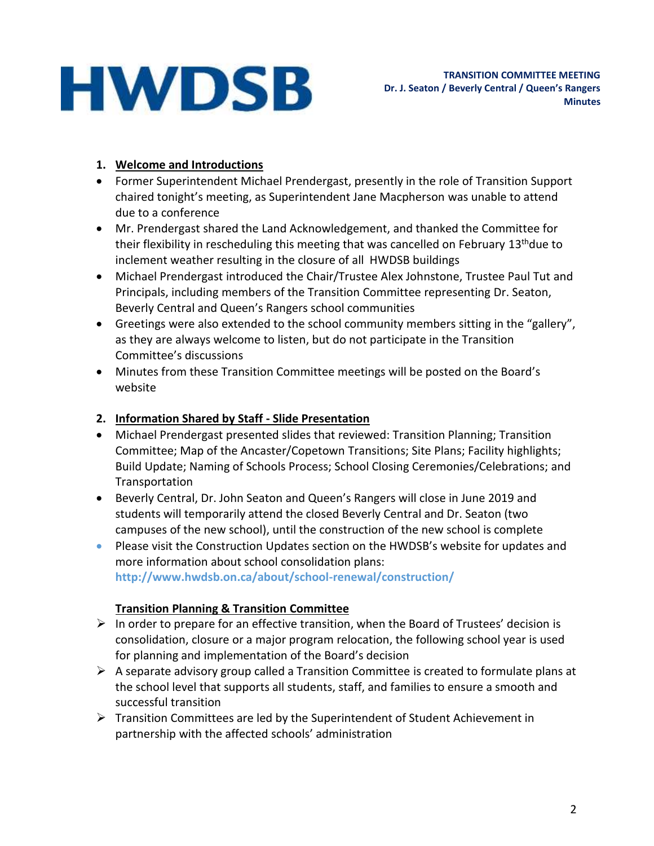### **1. Welcome and Introductions**

- Former Superintendent Michael Prendergast, presently in the role of Transition Support chaired tonight's meeting, as Superintendent Jane Macpherson was unable to attend due to a conference
- Mr. Prendergast shared the Land Acknowledgement, and thanked the Committee for their flexibility in rescheduling this meeting that was cancelled on February 13<sup>th</sup>due to inclement weather resulting in the closure of all HWDSB buildings
- Michael Prendergast introduced the Chair/Trustee Alex Johnstone, Trustee Paul Tut and Principals, including members of the Transition Committee representing Dr. Seaton, Beverly Central and Queen's Rangers school communities
- Greetings were also extended to the school community members sitting in the "gallery", as they are always welcome to listen, but do not participate in the Transition Committee's discussions
- Minutes from these Transition Committee meetings will be posted on the Board's website

### **2. Information Shared by Staff - Slide Presentation**

- Michael Prendergast presented slides that reviewed: Transition Planning; Transition Committee; Map of the Ancaster/Copetown Transitions; Site Plans; Facility highlights; Build Update; Naming of Schools Process; School Closing Ceremonies/Celebrations; and **Transportation**
- Beverly Central, Dr. John Seaton and Queen's Rangers will close in June 2019 and students will temporarily attend the closed Beverly Central and Dr. Seaton (two campuses of the new school), until the construction of the new school is complete
- Please visit the Construction Updates section on the HWDSB's website for updates and more information about school consolidation plans: **http://www.hwdsb.on.ca/about/school-renewal/construction/**

# **Transition Planning & Transition Committee**

- ➢ In order to prepare for an effective transition, when the Board of Trustees' decision is consolidation, closure or a major program relocation, the following school year is used for planning and implementation of the Board's decision
- $\triangleright$  A separate advisory group called a Transition Committee is created to formulate plans at the school level that supports all students, staff, and families to ensure a smooth and successful transition
- ➢ Transition Committees are led by the Superintendent of Student Achievement in partnership with the affected schools' administration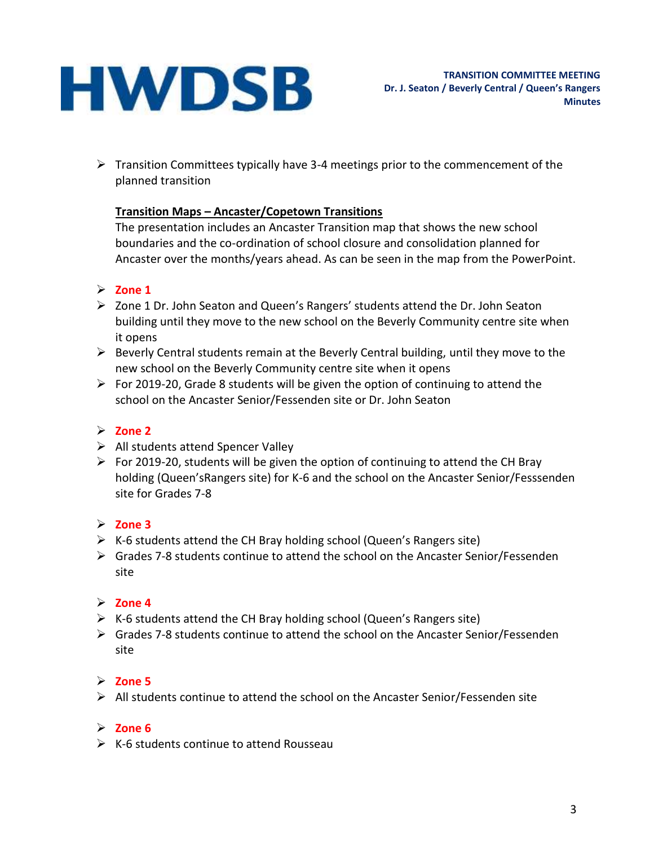$\triangleright$  Transition Committees typically have 3-4 meetings prior to the commencement of the planned transition

### **Transition Maps – Ancaster/Copetown Transitions**

The presentation includes an Ancaster Transition map that shows the new school boundaries and the co-ordination of school closure and consolidation planned for Ancaster over the months/years ahead. As can be seen in the map from the PowerPoint.

### ➢ **Zone 1**

- ➢ Zone 1 Dr. John Seaton and Queen's Rangers' students attend the Dr. John Seaton building until they move to the new school on the Beverly Community centre site when it opens
- ➢ Beverly Central students remain at the Beverly Central building, until they move to the new school on the Beverly Community centre site when it opens
- $\triangleright$  For 2019-20, Grade 8 students will be given the option of continuing to attend the school on the Ancaster Senior/Fessenden site or Dr. John Seaton

# ➢ **Zone 2**

- ➢ All students attend Spencer Valley
- $\triangleright$  For 2019-20, students will be given the option of continuing to attend the CH Bray holding (Queen'sRangers site) for K-6 and the school on the Ancaster Senior/Fesssenden site for Grades 7-8

### ➢ **Zone 3**

- ➢ K-6 students attend the CH Bray holding school (Queen's Rangers site)
- $\triangleright$  Grades 7-8 students continue to attend the school on the Ancaster Senior/Fessenden site

### ➢ **Zone 4**

- $\triangleright$  K-6 students attend the CH Bray holding school (Queen's Rangers site)
- ➢ Grades 7-8 students continue to attend the school on the Ancaster Senior/Fessenden site

# ➢ **Zone 5**

 $\triangleright$  All students continue to attend the school on the Ancaster Senior/Fessenden site

### ➢ **Zone 6**

 $\triangleright$  K-6 students continue to attend Rousseau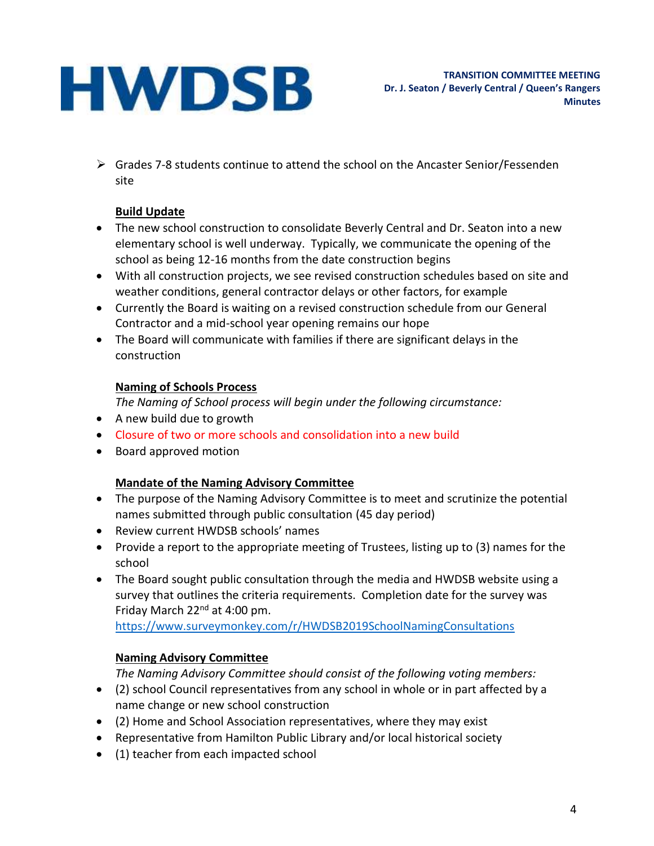➢ Grades 7-8 students continue to attend the school on the Ancaster Senior/Fessenden site

### **Build Update**

- The new school construction to consolidate Beverly Central and Dr. Seaton into a new elementary school is well underway. Typically, we communicate the opening of the school as being 12-16 months from the date construction begins
- With all construction projects, we see revised construction schedules based on site and weather conditions, general contractor delays or other factors, for example
- Currently the Board is waiting on a revised construction schedule from our General Contractor and a mid-school year opening remains our hope
- The Board will communicate with families if there are significant delays in the construction

# **Naming of Schools Process**

*The Naming of School process will begin under the following circumstance:*

- A new build due to growth
- Closure of two or more schools and consolidation into a new build
- Board approved motion

# **Mandate of the Naming Advisory Committee**

- The purpose of the Naming Advisory Committee is to meet and scrutinize the potential names submitted through public consultation (45 day period)
- Review current HWDSB schools' names
- Provide a report to the appropriate meeting of Trustees, listing up to (3) names for the school
- The Board sought public consultation through the media and HWDSB website using a survey that outlines the criteria requirements. Completion date for the survey was Friday March 22<sup>nd</sup> at 4:00 pm.

<https://www.surveymonkey.com/r/HWDSB2019SchoolNamingConsultations>

# **Naming Advisory Committee**

*The Naming Advisory Committee should consist of the following voting members:*

- (2) school Council representatives from any school in whole or in part affected by a name change or new school construction
- (2) Home and School Association representatives, where they may exist
- Representative from Hamilton Public Library and/or local historical society
- (1) teacher from each impacted school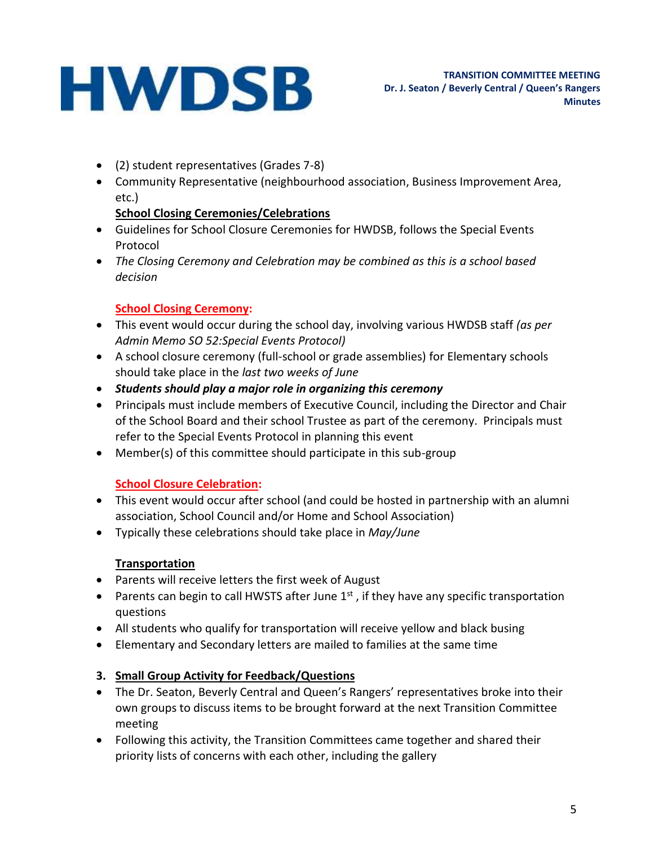- (2) student representatives (Grades 7-8)
- Community Representative (neighbourhood association, Business Improvement Area, etc.)

### **School Closing Ceremonies/Celebrations**

- Guidelines for School Closure Ceremonies for HWDSB, follows the Special Events Protocol
- *The Closing Ceremony and Celebration may be combined as this is a school based decision*

# **School Closing Ceremony:**

- This event would occur during the school day, involving various HWDSB staff *(as per Admin Memo SO 52:Special Events Protocol)*
- A school closure ceremony (full-school or grade assemblies) for Elementary schools should take place in the *last two weeks of June*
- *Students should play a major role in organizing this ceremony*
- Principals must include members of Executive Council, including the Director and Chair of the School Board and their school Trustee as part of the ceremony. Principals must refer to the Special Events Protocol in planning this event
- Member(s) of this committee should participate in this sub-group

# **School Closure Celebration:**

- This event would occur after school (and could be hosted in partnership with an alumni association, School Council and/or Home and School Association)
- Typically these celebrations should take place in *May/June*

### **Transportation**

- Parents will receive letters the first week of August
- Parents can begin to call HWSTS after June  $1<sup>st</sup>$ , if they have any specific transportation questions
- All students who qualify for transportation will receive yellow and black busing
- Elementary and Secondary letters are mailed to families at the same time

### **3. Small Group Activity for Feedback/Questions**

- The Dr. Seaton, Beverly Central and Queen's Rangers' representatives broke into their own groups to discuss items to be brought forward at the next Transition Committee meeting
- Following this activity, the Transition Committees came together and shared their priority lists of concerns with each other, including the gallery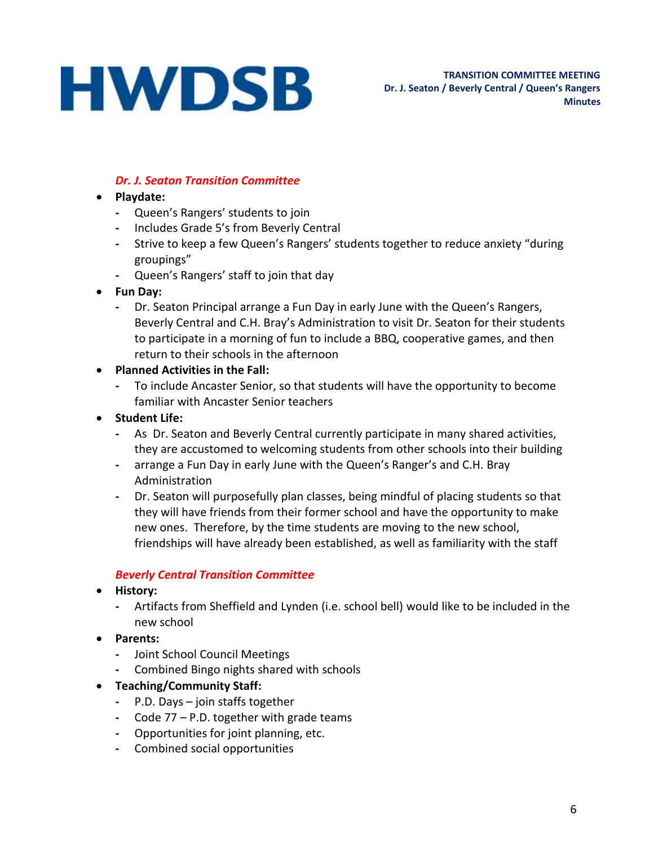### *Dr. J. Seaton Transition Committee*

- **Playdate:**
	- **-** Queen's Rangers' students to join
	- **-** Includes Grade 5's from Beverly Central
	- **-** Strive to keep a few Queen's Rangers' students together to reduce anxiety "during groupings"
	- **-** Queen's Rangers' staff to join that day
- **Fun Day:**
	- **-** Dr. Seaton Principal arrange a Fun Day in early June with the Queen's Rangers, Beverly Central and C.H. Bray's Administration to visit Dr. Seaton for their students to participate in a morning of fun to include a BBQ, cooperative games, and then return to their schools in the afternoon
- **Planned Activities in the Fall:**
	- **-** To include Ancaster Senior, so that students will have the opportunity to become familiar with Ancaster Senior teachers
- **Student Life:**
	- **-** As Dr. Seaton and Beverly Central currently participate in many shared activities, they are accustomed to welcoming students from other schools into their building
	- **-** arrange a Fun Day in early June with the Queen's Ranger's and C.H. Bray Administration
	- **-** Dr. Seaton will purposefully plan classes, being mindful of placing students so that they will have friends from their former school and have the opportunity to make new ones. Therefore, by the time students are moving to the new school, friendships will have already been established, as well as familiarity with the staff

#### *Beverly Central Transition Committee*

- **History:**
	- **-** Artifacts from Sheffield and Lynden (i.e. school bell) would like to be included in the new school
- **Parents:**
	- **-** Joint School Council Meetings
	- **-** Combined Bingo nights shared with schools
- **Teaching/Community Staff:**
	- **-** P.D. Days join staffs together
	- **-** Code 77 P.D. together with grade teams
	- **-** Opportunities for joint planning, etc.
	- **-** Combined social opportunities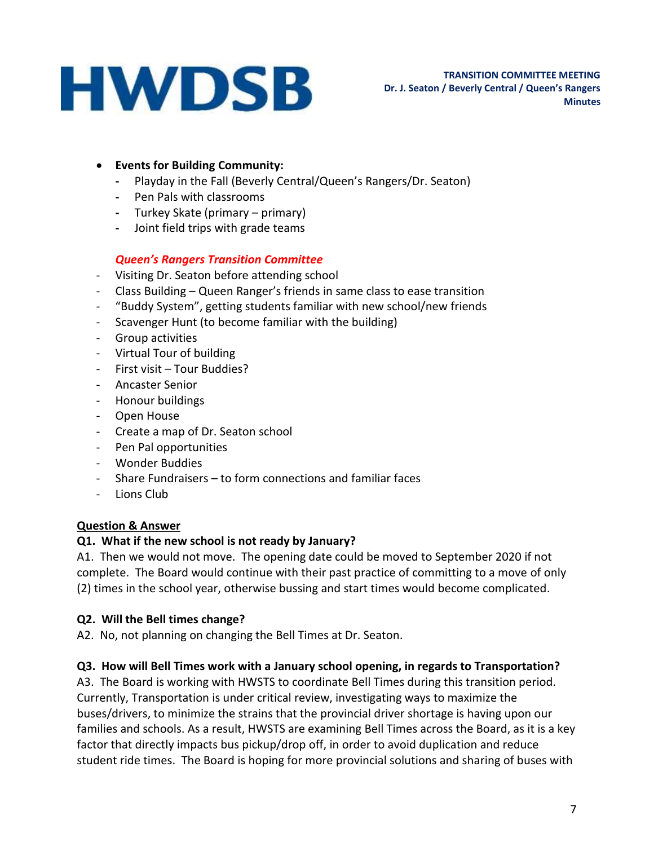- **Events for Building Community:**
	- **-** Playday in the Fall (Beverly Central/Queen's Rangers/Dr. Seaton)
	- **-** Pen Pals with classrooms
	- **-** Turkey Skate (primary primary)
	- **-** Joint field trips with grade teams

#### *Queen's Rangers Transition Committee*

- Visiting Dr. Seaton before attending school
- Class Building Queen Ranger's friends in same class to ease transition
- "Buddy System", getting students familiar with new school/new friends
- Scavenger Hunt (to become familiar with the building)
- Group activities
- Virtual Tour of building
- First visit Tour Buddies?
- Ancaster Senior
- Honour buildings
- Open House
- Create a map of Dr. Seaton school
- Pen Pal opportunities
- Wonder Buddies
- Share Fundraisers to form connections and familiar faces
- Lions Club

#### **Question & Answer**

#### **Q1. What if the new school is not ready by January?**

A1. Then we would not move. The opening date could be moved to September 2020 if not complete. The Board would continue with their past practice of committing to a move of only (2) times in the school year, otherwise bussing and start times would become complicated.

#### **Q2. Will the Bell times change?**

A2. No, not planning on changing the Bell Times at Dr. Seaton.

#### **Q3. How will Bell Times work with a January school opening, in regards to Transportation?**

A3. The Board is working with HWSTS to coordinate Bell Times during this transition period. Currently, Transportation is under critical review, investigating ways to maximize the buses/drivers, to minimize the strains that the provincial driver shortage is having upon our families and schools. As a result, HWSTS are examining Bell Times across the Board, as it is a key factor that directly impacts bus pickup/drop off, in order to avoid duplication and reduce student ride times. The Board is hoping for more provincial solutions and sharing of buses with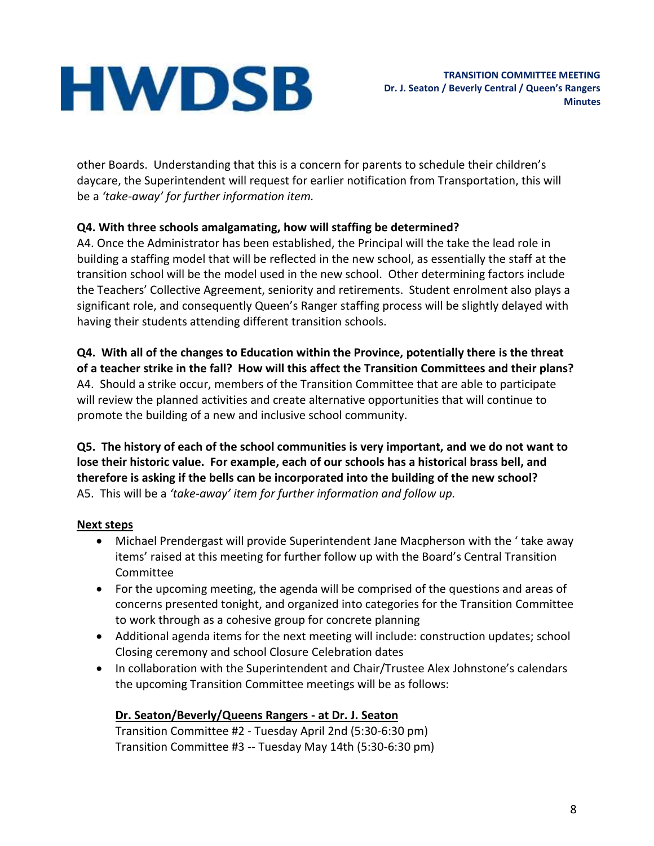other Boards. Understanding that this is a concern for parents to schedule their children's daycare, the Superintendent will request for earlier notification from Transportation, this will be a *'take-away' for further information item.*

### **Q4. With three schools amalgamating, how will staffing be determined?**

A4. Once the Administrator has been established, the Principal will the take the lead role in building a staffing model that will be reflected in the new school, as essentially the staff at the transition school will be the model used in the new school. Other determining factors include the Teachers' Collective Agreement, seniority and retirements. Student enrolment also plays a significant role, and consequently Queen's Ranger staffing process will be slightly delayed with having their students attending different transition schools.

**Q4. With all of the changes to Education within the Province, potentially there is the threat of a teacher strike in the fall? How will this affect the Transition Committees and their plans?** A4. Should a strike occur, members of the Transition Committee that are able to participate will review the planned activities and create alternative opportunities that will continue to promote the building of a new and inclusive school community.

**Q5. The history of each of the school communities is very important, and we do not want to lose their historic value. For example, each of our schools has a historical brass bell, and therefore is asking if the bells can be incorporated into the building of the new school?** A5. This will be a *'take-away' item for further information and follow up.*

# **Next steps**

- Michael Prendergast will provide Superintendent Jane Macpherson with the ' take away items' raised at this meeting for further follow up with the Board's Central Transition Committee
- For the upcoming meeting, the agenda will be comprised of the questions and areas of concerns presented tonight, and organized into categories for the Transition Committee to work through as a cohesive group for concrete planning
- Additional agenda items for the next meeting will include: construction updates; school Closing ceremony and school Closure Celebration dates
- In collaboration with the Superintendent and Chair/Trustee Alex Johnstone's calendars the upcoming Transition Committee meetings will be as follows:

# **Dr. Seaton/Beverly/Queens Rangers - at Dr. J. Seaton**

Transition Committee #2 - Tuesday April 2nd (5:30-6:30 pm) Transition Committee #3 -- Tuesday May 14th (5:30-6:30 pm)